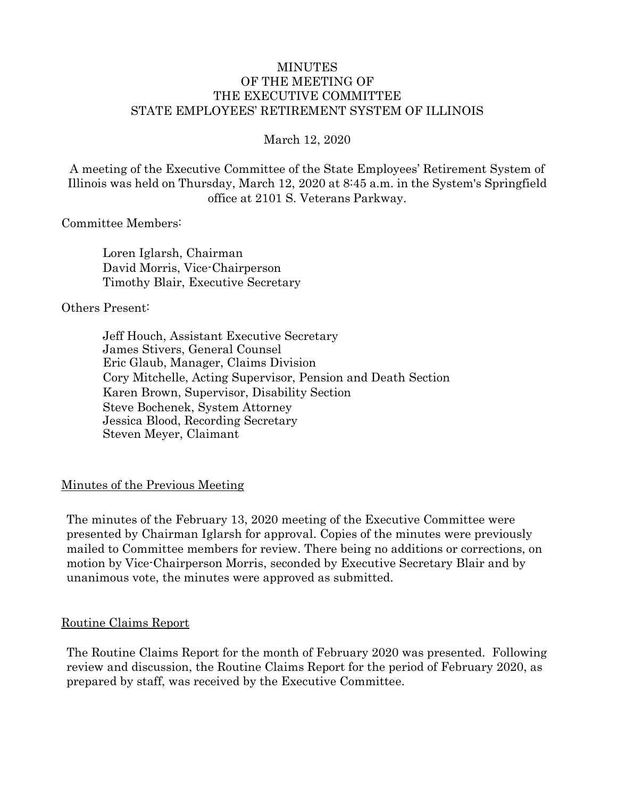#### MINUTES OF THE MEETING OF THE EXECUTIVE COMMITTEE STATE EMPLOYEES' RETIREMENT SYSTEM OF ILLINOIS

March 12, 2020

A meeting of the Executive Committee of the State Employees' Retirement System of Illinois was held on Thursday, March 12, 2020 at 8:45 a.m. in the System's Springfield office at 2101 S. Veterans Parkway.

#### Committee Members:

Loren Iglarsh, Chairman David Morris, Vice-Chairperson Timothy Blair, Executive Secretary

#### Others Present:

Jeff Houch, Assistant Executive Secretary James Stivers, General Counsel Eric Glaub, Manager, Claims Division Cory Mitchelle, Acting Supervisor, Pension and Death Section Karen Brown, Supervisor, Disability Section Steve Bochenek, System Attorney Jessica Blood, Recording Secretary Steven Meyer, Claimant

#### Minutes of the Previous Meeting

The minutes of the February 13, 2020 meeting of the Executive Committee were presented by Chairman Iglarsh for approval. Copies of the minutes were previously mailed to Committee members for review. There being no additions or corrections, on motion by Vice-Chairperson Morris, seconded by Executive Secretary Blair and by unanimous vote, the minutes were approved as submitted.

#### Routine Claims Report

The Routine Claims Report for the month of February 2020 was presented. Following review and discussion, the Routine Claims Report for the period of February 2020, as prepared by staff, was received by the Executive Committee.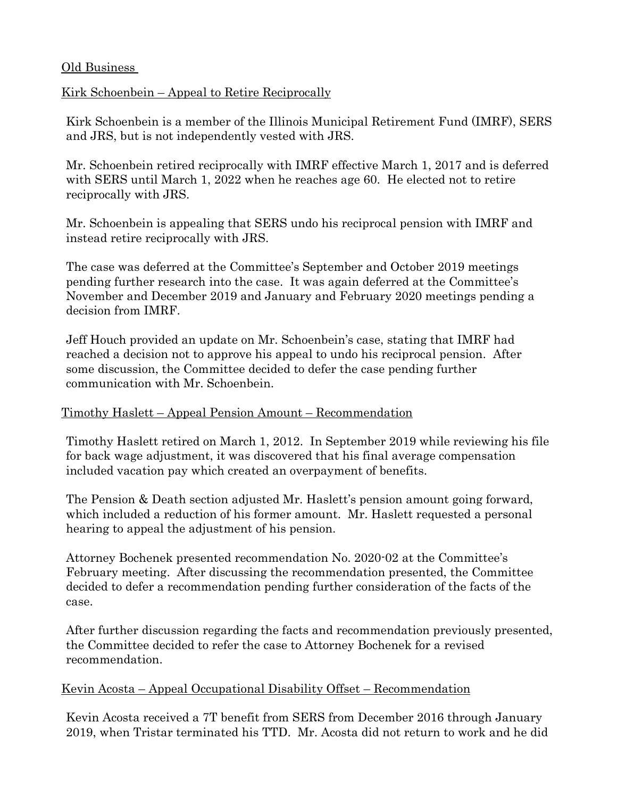#### Old Business

### Kirk Schoenbein – Appeal to Retire Reciprocally

Kirk Schoenbein is a member of the Illinois Municipal Retirement Fund (IMRF), SERS and JRS, but is not independently vested with JRS.

Mr. Schoenbein retired reciprocally with IMRF effective March 1, 2017 and is deferred with SERS until March 1, 2022 when he reaches age 60. He elected not to retire reciprocally with JRS.

Mr. Schoenbein is appealing that SERS undo his reciprocal pension with IMRF and instead retire reciprocally with JRS.

The case was deferred at the Committee's September and October 2019 meetings pending further research into the case. It was again deferred at the Committee's November and December 2019 and January and February 2020 meetings pending a decision from IMRF.

Jeff Houch provided an update on Mr. Schoenbein's case, stating that IMRF had reached a decision not to approve his appeal to undo his reciprocal pension. After some discussion, the Committee decided to defer the case pending further communication with Mr. Schoenbein.

#### Timothy Haslett – Appeal Pension Amount – Recommendation

Timothy Haslett retired on March 1, 2012. In September 2019 while reviewing his file for back wage adjustment, it was discovered that his final average compensation included vacation pay which created an overpayment of benefits.

The Pension & Death section adjusted Mr. Haslett's pension amount going forward, which included a reduction of his former amount. Mr. Haslett requested a personal hearing to appeal the adjustment of his pension.

Attorney Bochenek presented recommendation No. 2020-02 at the Committee's February meeting. After discussing the recommendation presented, the Committee decided to defer a recommendation pending further consideration of the facts of the case.

After further discussion regarding the facts and recommendation previously presented, the Committee decided to refer the case to Attorney Bochenek for a revised recommendation.

#### Kevin Acosta – Appeal Occupational Disability Offset – Recommendation

Kevin Acosta received a 7T benefit from SERS from December 2016 through January 2019, when Tristar terminated his TTD. Mr. Acosta did not return to work and he did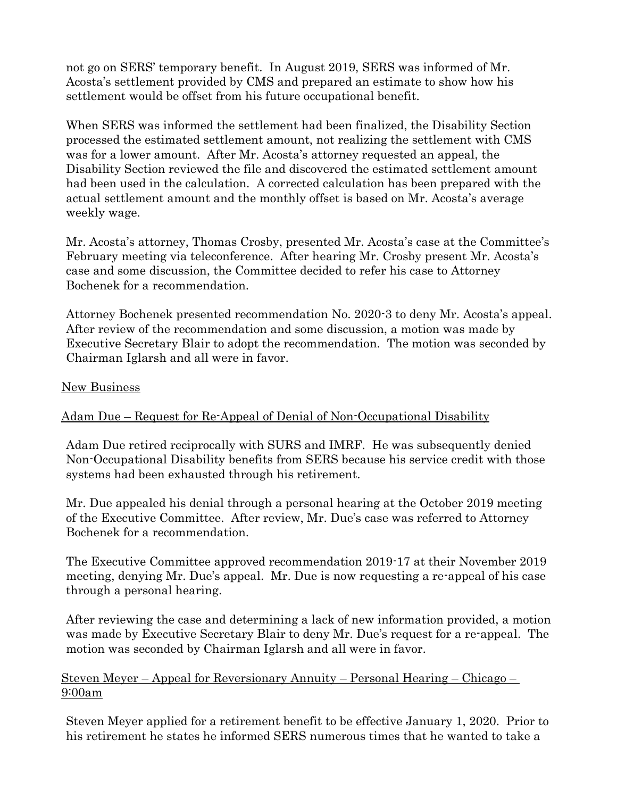not go on SERS' temporary benefit. In August 2019, SERS was informed of Mr. Acosta's settlement provided by CMS and prepared an estimate to show how his settlement would be offset from his future occupational benefit.

When SERS was informed the settlement had been finalized, the Disability Section processed the estimated settlement amount, not realizing the settlement with CMS was for a lower amount. After Mr. Acosta's attorney requested an appeal, the Disability Section reviewed the file and discovered the estimated settlement amount had been used in the calculation. A corrected calculation has been prepared with the actual settlement amount and the monthly offset is based on Mr. Acosta's average weekly wage.

Mr. Acosta's attorney, Thomas Crosby, presented Mr. Acosta's case at the Committee's February meeting via teleconference. After hearing Mr. Crosby present Mr. Acosta's case and some discussion, the Committee decided to refer his case to Attorney Bochenek for a recommendation.

Attorney Bochenek presented recommendation No. 2020-3 to deny Mr. Acosta's appeal. After review of the recommendation and some discussion, a motion was made by Executive Secretary Blair to adopt the recommendation. The motion was seconded by Chairman Iglarsh and all were in favor.

#### New Business

### Adam Due – Request for Re-Appeal of Denial of Non-Occupational Disability

Adam Due retired reciprocally with SURS and IMRF. He was subsequently denied Non-Occupational Disability benefits from SERS because his service credit with those systems had been exhausted through his retirement.

Mr. Due appealed his denial through a personal hearing at the October 2019 meeting of the Executive Committee. After review, Mr. Due's case was referred to Attorney Bochenek for a recommendation.

The Executive Committee approved recommendation 2019-17 at their November 2019 meeting, denying Mr. Due's appeal. Mr. Due is now requesting a re-appeal of his case through a personal hearing.

After reviewing the case and determining a lack of new information provided, a motion was made by Executive Secretary Blair to deny Mr. Due's request for a re-appeal. The motion was seconded by Chairman Iglarsh and all were in favor.

Steven Meyer – Appeal for Reversionary Annuity – Personal Hearing – Chicago – 9:00am

Steven Meyer applied for a retirement benefit to be effective January 1, 2020. Prior to his retirement he states he informed SERS numerous times that he wanted to take a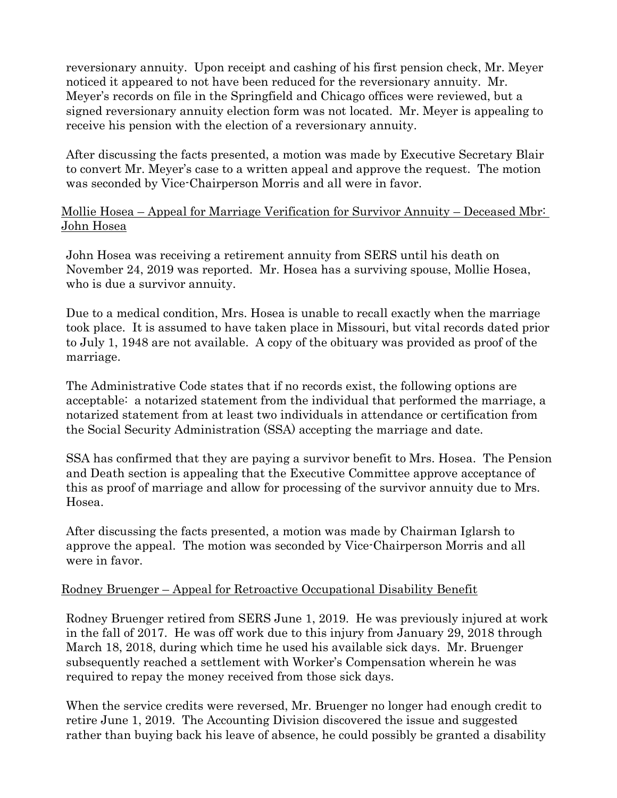reversionary annuity. Upon receipt and cashing of his first pension check, Mr. Meyer noticed it appeared to not have been reduced for the reversionary annuity. Mr. Meyer's records on file in the Springfield and Chicago offices were reviewed, but a signed reversionary annuity election form was not located. Mr. Meyer is appealing to receive his pension with the election of a reversionary annuity.

After discussing the facts presented, a motion was made by Executive Secretary Blair to convert Mr. Meyer's case to a written appeal and approve the request. The motion was seconded by Vice-Chairperson Morris and all were in favor.

### Mollie Hosea – Appeal for Marriage Verification for Survivor Annuity – Deceased Mbr: John Hosea

John Hosea was receiving a retirement annuity from SERS until his death on November 24, 2019 was reported. Mr. Hosea has a surviving spouse, Mollie Hosea, who is due a survivor annuity.

Due to a medical condition, Mrs. Hosea is unable to recall exactly when the marriage took place. It is assumed to have taken place in Missouri, but vital records dated prior to July 1, 1948 are not available. A copy of the obituary was provided as proof of the marriage.

The Administrative Code states that if no records exist, the following options are acceptable: a notarized statement from the individual that performed the marriage, a notarized statement from at least two individuals in attendance or certification from the Social Security Administration (SSA) accepting the marriage and date.

SSA has confirmed that they are paying a survivor benefit to Mrs. Hosea. The Pension and Death section is appealing that the Executive Committee approve acceptance of this as proof of marriage and allow for processing of the survivor annuity due to Mrs. Hosea.

After discussing the facts presented, a motion was made by Chairman Iglarsh to approve the appeal. The motion was seconded by Vice-Chairperson Morris and all were in favor.

### Rodney Bruenger – Appeal for Retroactive Occupational Disability Benefit

Rodney Bruenger retired from SERS June 1, 2019. He was previously injured at work in the fall of 2017. He was off work due to this injury from January 29, 2018 through March 18, 2018, during which time he used his available sick days. Mr. Bruenger subsequently reached a settlement with Worker's Compensation wherein he was required to repay the money received from those sick days.

When the service credits were reversed, Mr. Bruenger no longer had enough credit to retire June 1, 2019. The Accounting Division discovered the issue and suggested rather than buying back his leave of absence, he could possibly be granted a disability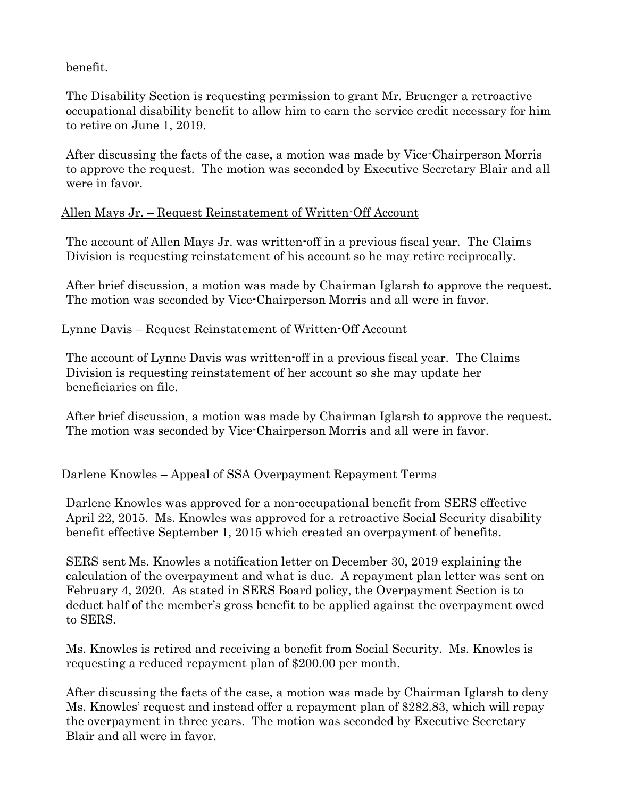benefit.

The Disability Section is requesting permission to grant Mr. Bruenger a retroactive occupational disability benefit to allow him to earn the service credit necessary for him to retire on June 1, 2019.

After discussing the facts of the case, a motion was made by Vice-Chairperson Morris to approve the request. The motion was seconded by Executive Secretary Blair and all were in favor.

### Allen Mays Jr. – Request Reinstatement of Written-Off Account

The account of Allen Mays Jr. was written-off in a previous fiscal year. The Claims Division is requesting reinstatement of his account so he may retire reciprocally.

After brief discussion, a motion was made by Chairman Iglarsh to approve the request. The motion was seconded by Vice-Chairperson Morris and all were in favor.

#### Lynne Davis – Request Reinstatement of Written-Off Account

The account of Lynne Davis was written-off in a previous fiscal year. The Claims Division is requesting reinstatement of her account so she may update her beneficiaries on file.

After brief discussion, a motion was made by Chairman Iglarsh to approve the request. The motion was seconded by Vice-Chairperson Morris and all were in favor.

### Darlene Knowles – Appeal of SSA Overpayment Repayment Terms

Darlene Knowles was approved for a non-occupational benefit from SERS effective April 22, 2015. Ms. Knowles was approved for a retroactive Social Security disability benefit effective September 1, 2015 which created an overpayment of benefits.

SERS sent Ms. Knowles a notification letter on December 30, 2019 explaining the calculation of the overpayment and what is due. A repayment plan letter was sent on February 4, 2020. As stated in SERS Board policy, the Overpayment Section is to deduct half of the member's gross benefit to be applied against the overpayment owed to SERS.

Ms. Knowles is retired and receiving a benefit from Social Security. Ms. Knowles is requesting a reduced repayment plan of \$200.00 per month.

After discussing the facts of the case, a motion was made by Chairman Iglarsh to deny Ms. Knowles' request and instead offer a repayment plan of \$282.83, which will repay the overpayment in three years. The motion was seconded by Executive Secretary Blair and all were in favor.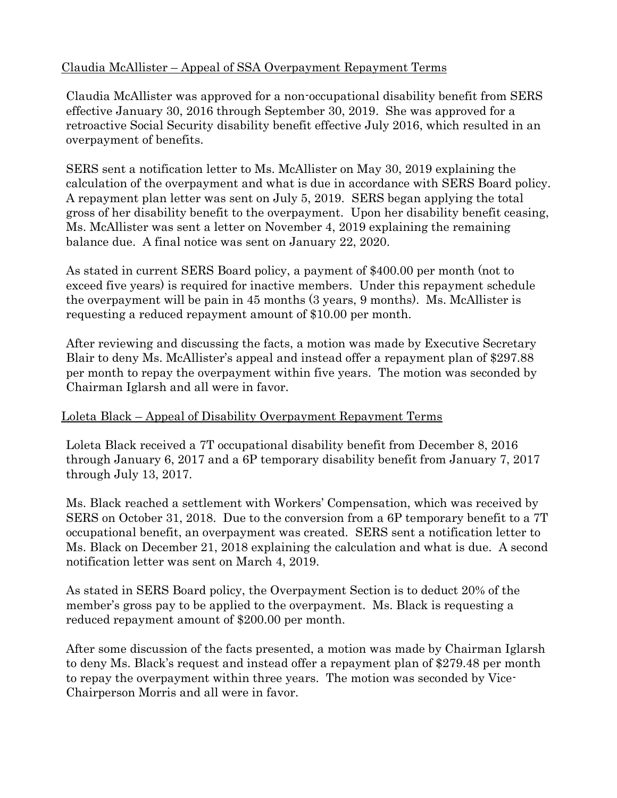## Claudia McAllister – Appeal of SSA Overpayment Repayment Terms

Claudia McAllister was approved for a non-occupational disability benefit from SERS effective January 30, 2016 through September 30, 2019. She was approved for a retroactive Social Security disability benefit effective July 2016, which resulted in an overpayment of benefits.

SERS sent a notification letter to Ms. McAllister on May 30, 2019 explaining the calculation of the overpayment and what is due in accordance with SERS Board policy. A repayment plan letter was sent on July 5, 2019. SERS began applying the total gross of her disability benefit to the overpayment. Upon her disability benefit ceasing, Ms. McAllister was sent a letter on November 4, 2019 explaining the remaining balance due. A final notice was sent on January 22, 2020.

As stated in current SERS Board policy, a payment of \$400.00 per month (not to exceed five years) is required for inactive members. Under this repayment schedule the overpayment will be pain in 45 months (3 years, 9 months). Ms. McAllister is requesting a reduced repayment amount of \$10.00 per month.

After reviewing and discussing the facts, a motion was made by Executive Secretary Blair to deny Ms. McAllister's appeal and instead offer a repayment plan of \$297.88 per month to repay the overpayment within five years. The motion was seconded by Chairman Iglarsh and all were in favor.

### Loleta Black – Appeal of Disability Overpayment Repayment Terms

Loleta Black received a 7T occupational disability benefit from December 8, 2016 through January 6, 2017 and a 6P temporary disability benefit from January 7, 2017 through July 13, 2017.

Ms. Black reached a settlement with Workers' Compensation, which was received by SERS on October 31, 2018. Due to the conversion from a 6P temporary benefit to a 7T occupational benefit, an overpayment was created. SERS sent a notification letter to Ms. Black on December 21, 2018 explaining the calculation and what is due. A second notification letter was sent on March 4, 2019.

As stated in SERS Board policy, the Overpayment Section is to deduct 20% of the member's gross pay to be applied to the overpayment. Ms. Black is requesting a reduced repayment amount of \$200.00 per month.

After some discussion of the facts presented, a motion was made by Chairman Iglarsh to deny Ms. Black's request and instead offer a repayment plan of \$279.48 per month to repay the overpayment within three years. The motion was seconded by Vice-Chairperson Morris and all were in favor.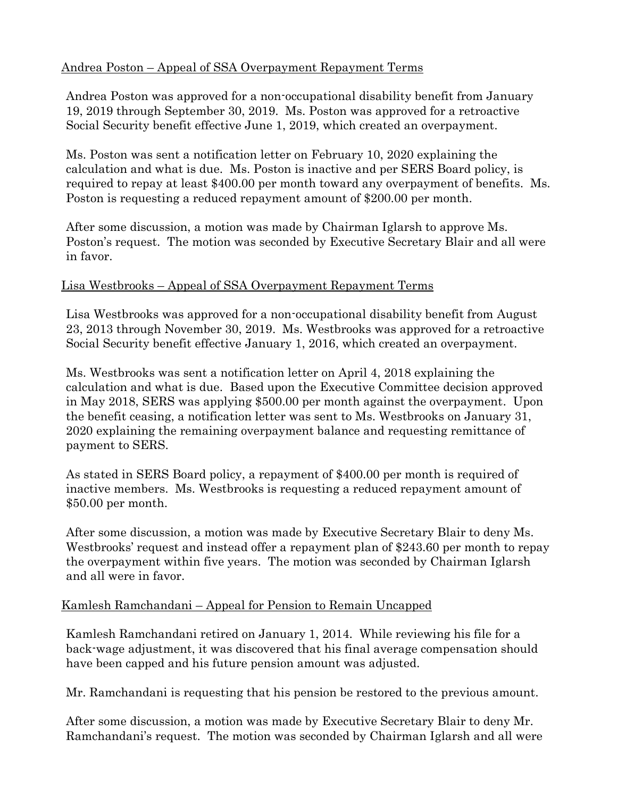### Andrea Poston – Appeal of SSA Overpayment Repayment Terms

Andrea Poston was approved for a non-occupational disability benefit from January 19, 2019 through September 30, 2019. Ms. Poston was approved for a retroactive Social Security benefit effective June 1, 2019, which created an overpayment.

Ms. Poston was sent a notification letter on February 10, 2020 explaining the calculation and what is due. Ms. Poston is inactive and per SERS Board policy, is required to repay at least \$400.00 per month toward any overpayment of benefits. Ms. Poston is requesting a reduced repayment amount of \$200.00 per month.

After some discussion, a motion was made by Chairman Iglarsh to approve Ms. Poston's request. The motion was seconded by Executive Secretary Blair and all were in favor.

#### Lisa Westbrooks – Appeal of SSA Overpayment Repayment Terms

Lisa Westbrooks was approved for a non-occupational disability benefit from August 23, 2013 through November 30, 2019. Ms. Westbrooks was approved for a retroactive Social Security benefit effective January 1, 2016, which created an overpayment.

Ms. Westbrooks was sent a notification letter on April 4, 2018 explaining the calculation and what is due. Based upon the Executive Committee decision approved in May 2018, SERS was applying \$500.00 per month against the overpayment. Upon the benefit ceasing, a notification letter was sent to Ms. Westbrooks on January 31, 2020 explaining the remaining overpayment balance and requesting remittance of payment to SERS.

As stated in SERS Board policy, a repayment of \$400.00 per month is required of inactive members. Ms. Westbrooks is requesting a reduced repayment amount of \$50.00 per month.

After some discussion, a motion was made by Executive Secretary Blair to deny Ms. Westbrooks' request and instead offer a repayment plan of \$243.60 per month to repay the overpayment within five years. The motion was seconded by Chairman Iglarsh and all were in favor.

### Kamlesh Ramchandani – Appeal for Pension to Remain Uncapped

Kamlesh Ramchandani retired on January 1, 2014. While reviewing his file for a back-wage adjustment, it was discovered that his final average compensation should have been capped and his future pension amount was adjusted.

Mr. Ramchandani is requesting that his pension be restored to the previous amount.

After some discussion, a motion was made by Executive Secretary Blair to deny Mr. Ramchandani's request. The motion was seconded by Chairman Iglarsh and all were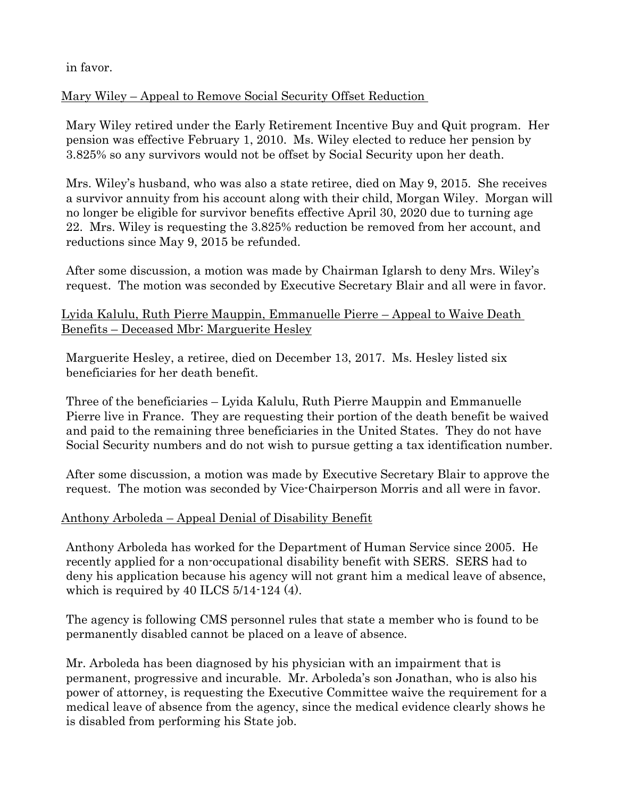in favor.

Mary Wiley – Appeal to Remove Social Security Offset Reduction

Mary Wiley retired under the Early Retirement Incentive Buy and Quit program. Her pension was effective February 1, 2010. Ms. Wiley elected to reduce her pension by 3.825% so any survivors would not be offset by Social Security upon her death.

Mrs. Wiley's husband, who was also a state retiree, died on May 9, 2015. She receives a survivor annuity from his account along with their child, Morgan Wiley. Morgan will no longer be eligible for survivor benefits effective April 30, 2020 due to turning age 22. Mrs. Wiley is requesting the 3.825% reduction be removed from her account, and reductions since May 9, 2015 be refunded.

After some discussion, a motion was made by Chairman Iglarsh to deny Mrs. Wiley's request. The motion was seconded by Executive Secretary Blair and all were in favor.

## Lyida Kalulu, Ruth Pierre Mauppin, Emmanuelle Pierre – Appeal to Waive Death Benefits – Deceased Mbr: Marguerite Hesley

Marguerite Hesley, a retiree, died on December 13, 2017. Ms. Hesley listed six beneficiaries for her death benefit.

Three of the beneficiaries – Lyida Kalulu, Ruth Pierre Mauppin and Emmanuelle Pierre live in France. They are requesting their portion of the death benefit be waived and paid to the remaining three beneficiaries in the United States. They do not have Social Security numbers and do not wish to pursue getting a tax identification number.

After some discussion, a motion was made by Executive Secretary Blair to approve the request. The motion was seconded by Vice-Chairperson Morris and all were in favor.

# Anthony Arboleda – Appeal Denial of Disability Benefit

Anthony Arboleda has worked for the Department of Human Service since 2005. He recently applied for a non-occupational disability benefit with SERS. SERS had to deny his application because his agency will not grant him a medical leave of absence, which is required by 40 ILCS  $5/14$ -124 (4).

The agency is following CMS personnel rules that state a member who is found to be permanently disabled cannot be placed on a leave of absence.

Mr. Arboleda has been diagnosed by his physician with an impairment that is permanent, progressive and incurable. Mr. Arboleda's son Jonathan, who is also his power of attorney, is requesting the Executive Committee waive the requirement for a medical leave of absence from the agency, since the medical evidence clearly shows he is disabled from performing his State job.